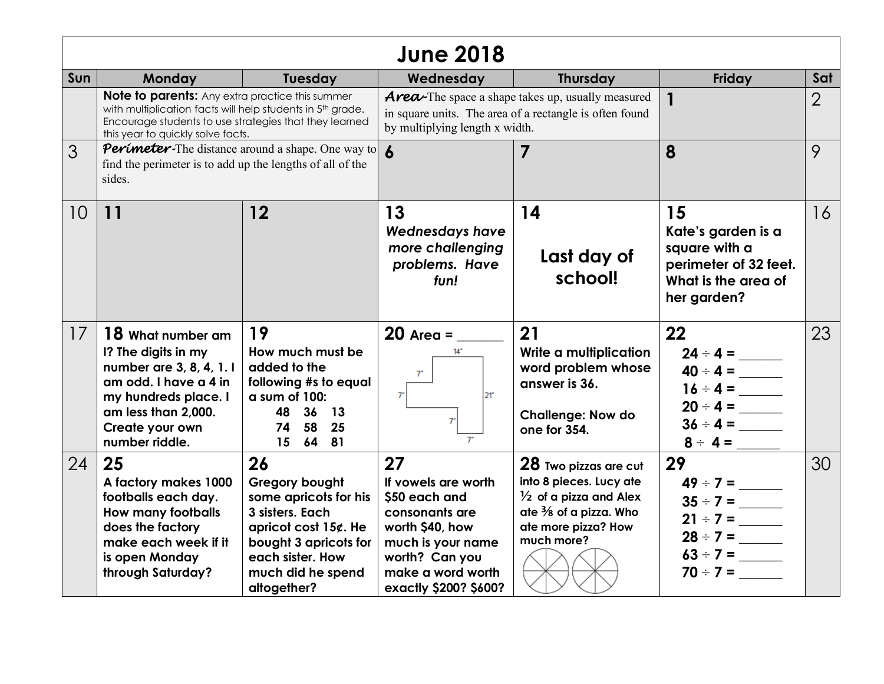| <b>June 2018</b> |                                                                                                                                                                                                                     |                                                                                                                                                                              |                                                                                                                                                                      |                                                                                                                                                                 |                                                                                                          |                |
|------------------|---------------------------------------------------------------------------------------------------------------------------------------------------------------------------------------------------------------------|------------------------------------------------------------------------------------------------------------------------------------------------------------------------------|----------------------------------------------------------------------------------------------------------------------------------------------------------------------|-----------------------------------------------------------------------------------------------------------------------------------------------------------------|----------------------------------------------------------------------------------------------------------|----------------|
| Sun              | Monday                                                                                                                                                                                                              | <b>Tuesday</b>                                                                                                                                                               | Wednesday                                                                                                                                                            | <b>Thursday</b>                                                                                                                                                 | Friday                                                                                                   | Sat            |
|                  | <b>Note to parents:</b> Any extra practice this summer<br>with multiplication facts will help students in 5th grade.<br>Encourage students to use strategies that they learned<br>this year to quickly solve facts. |                                                                                                                                                                              | <b>Area</b> -The space a shape takes up, usually measured<br>in square units. The area of a rectangle is often found<br>by multiplying length x width.               |                                                                                                                                                                 | 1                                                                                                        | $\overline{2}$ |
| 3                | <b>Perimeter-The distance around a shape. One way to</b><br>find the perimeter is to add up the lengths of all of the<br>sides.                                                                                     |                                                                                                                                                                              |                                                                                                                                                                      | 7                                                                                                                                                               | 8                                                                                                        | 9              |
| 10               | 11                                                                                                                                                                                                                  | 12                                                                                                                                                                           | 13<br><b>Wednesdays have</b><br>more challenging<br>problems. Have<br>fun!                                                                                           | 14<br>Last day of<br>school!                                                                                                                                    | 15<br>Kate's garden is a<br>square with a<br>perimeter of 32 feet.<br>What is the area of<br>her garden? | 16             |
| 17               | 18 What number am<br>I? The digits in my<br>number are 3, 8, 4, 1. I<br>am odd. I have a 4 in<br>my hundreds place. I<br>am less than 2,000.<br>Create your own<br>number riddle.                                   | 19<br>How much must be<br>added to the<br>following #s to equal<br>a sum of 100:<br>48 36 13<br>74 58 25<br>15 64 81                                                         | $14 -$<br>$7^{\circ}$<br>T<br>21 <sup>2</sup><br>7 <sup>2</sup>                                                                                                      | 21<br>Write a multiplication<br>word problem whose<br>answer is 36.<br><b>Challenge: Now do</b><br>one for 354.                                                 | 22<br>$40 \div 4 =$<br>$16 \div 4 =$<br>$20 \div 4 =$<br>$36 \div 4 =$<br>$8 \div 4 =$                   | 23             |
| 24               | 25<br>A factory makes 1000<br>footballs each day.<br><b>How many footballs</b><br>does the factory<br>make each week if it<br>is open Monday<br>through Saturday?                                                   | 26<br>Gregory bought<br>some apricots for his<br>3 sisters. Each<br>apricot cost $15¢$ . He<br>bought 3 apricots for<br>each sister. How<br>much did he spend<br>altogether? | 27<br>If vowels are worth<br>\$50 each and<br>consonants are<br>worth \$40, how<br>much is your name<br>worth? Can you<br>make a word worth<br>exactly \$200? \$600? | 28 Two pizzas are cut<br>into 8 pieces. Lucy ate<br>$\frac{1}{2}$ of a pizza and Alex<br>ate $\frac{3}{8}$ of a pizza. Who<br>ate more pizza? How<br>much more? | 29<br>$49 \div 7 =$<br>$35 \div 7 =$<br>$21 \div 7 =$<br>$63 \div 7 =$<br>$70 \div 7 =$                  | 30             |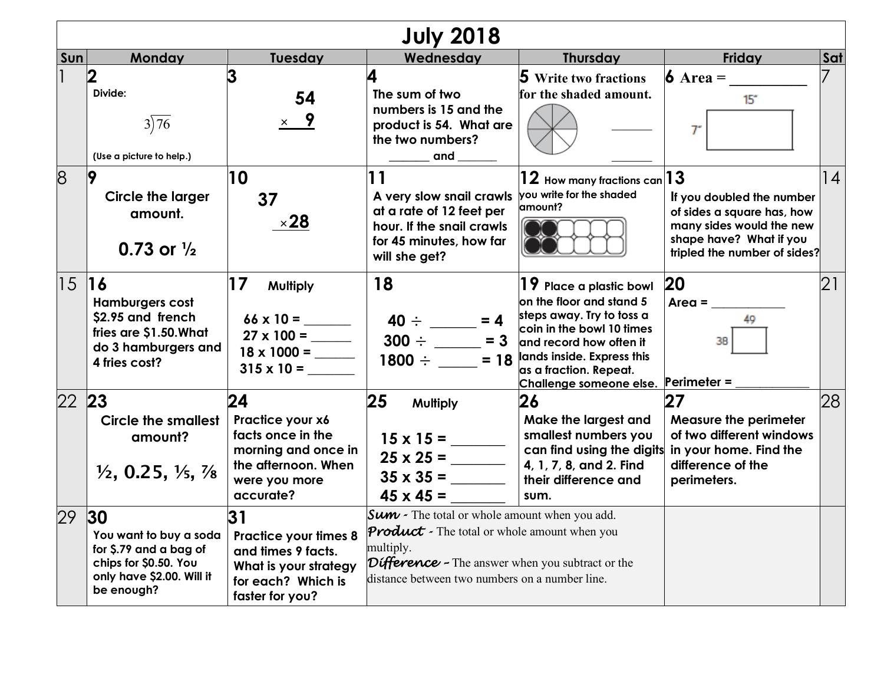| <b>July 2018</b> |                                                                                                                             |                                                                                                                            |                                                                                                                                                                                                                                |                                                                                                                                                                                                                                 |                                                                                                                                                |     |  |
|------------------|-----------------------------------------------------------------------------------------------------------------------------|----------------------------------------------------------------------------------------------------------------------------|--------------------------------------------------------------------------------------------------------------------------------------------------------------------------------------------------------------------------------|---------------------------------------------------------------------------------------------------------------------------------------------------------------------------------------------------------------------------------|------------------------------------------------------------------------------------------------------------------------------------------------|-----|--|
| Sun              | Monday                                                                                                                      | <b>Tuesday</b>                                                                                                             | Wednesday                                                                                                                                                                                                                      | <b>Thursday</b>                                                                                                                                                                                                                 | Friday                                                                                                                                         | Sat |  |
|                  | 2<br>Divide:<br>3)76<br>(Use a picture to help.)                                                                            | 54<br>$\times$ 9                                                                                                           | 4<br>The sum of two<br>numbers is 15 and the<br>product is 54. What are<br>the two numbers?<br>and                                                                                                                             | <b>5</b> Write two fractions<br>for the shaded amount.                                                                                                                                                                          | $6 \text{ Area} =$<br>15 <sup>2</sup><br>T                                                                                                     |     |  |
| 8                | 9<br><b>Circle the larger</b><br>amount.<br>0.73 or $\frac{1}{2}$                                                           | 10<br>37<br>$\times$ 28                                                                                                    | 11<br>A very slow snail crawls<br>at a rate of 12 feet per<br>hour. If the snail crawls<br>for 45 minutes, how far<br>will she get?                                                                                            | $\bf{12}$ How many fractions can $\bf{ 13}$<br>you write for the shaded<br>amount?                                                                                                                                              | If you doubled the number<br>of sides a square has, how<br>many sides would the new<br>shape have? What if you<br>tripled the number of sides? | 14  |  |
| 1516             | <b>Hamburgers cost</b><br>\$2.95 and french<br>fries are \$1.50. What<br>do 3 hamburgers and<br>4 fries cost?               | 17<br>Multiply<br>$315 \times 10 =$                                                                                        | 18<br>$40 \div \_ = 4$<br>$300 \div \_ = 3$<br>$1800 \div \_ = 18$                                                                                                                                                             | $19\,$ Place a plastic bowl<br>on the floor and stand 5<br>steps away. Try to toss a<br>coin in the bowl 10 times<br>and record how often it<br>lands inside. Express this<br>as a fraction. Repeat.<br>Challenge someone else. | 20<br>$Area =$<br><b>Perimeter =</b>                                                                                                           | 21  |  |
| 22               | 23<br><b>Circle the smallest</b><br>amount?<br>$\frac{1}{2}$ , 0.25, $\frac{1}{5}$ , $\frac{7}{8}$                          | 24<br>Practice your x6<br>facts once in the<br>morning and once in<br>the afternoon. When<br>were you more<br>accurate?    | 25<br><b>Multiply</b><br>$25 \times 25 =$<br>$35 \times 35 =$<br>$45 \times 45 =$                                                                                                                                              | 26<br>Make the largest and<br>smallest numbers you<br>can find using the digits<br>4, 1, 7, 8, and 2. Find<br>their difference and<br>sum.                                                                                      | 27<br><b>Measure the perimeter</b><br>of two different windows<br>in your home. Find the<br>difference of the<br>perimeters.                   | 28  |  |
| 29               | 30 <br>You want to buy a soda<br>for \$.79 and a bag of<br>chips for \$0.50. You<br>only have \$2.00. Will it<br>be enough? | 31<br><b>Practice your times 8</b><br>and times 9 facts.<br>What is your strategy<br>for each? Which is<br>faster for you? | <b>Sum</b> - The total or whole amount when you add.<br><b>Product</b> - The total or whole amount when you<br>multiply.<br>Difference - The answer when you subtract or the<br>distance between two numbers on a number line. |                                                                                                                                                                                                                                 |                                                                                                                                                |     |  |